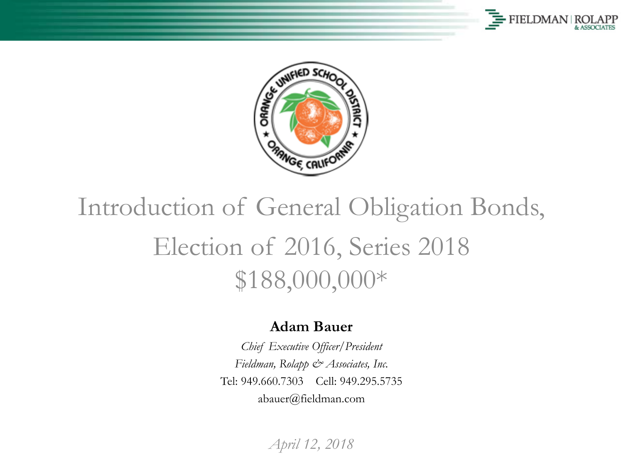



### Introduction of General Obligation Bonds, Election of 2016, Series 2018 \$188,000,000\*

#### **Adam Bauer**

*Chief Executive Officer/President Fieldman, Rolapp & Associates, Inc.* Tel: 949.660.7303 Cell: 949.295.5735 abauer@fieldman.com

*April 12, 2018*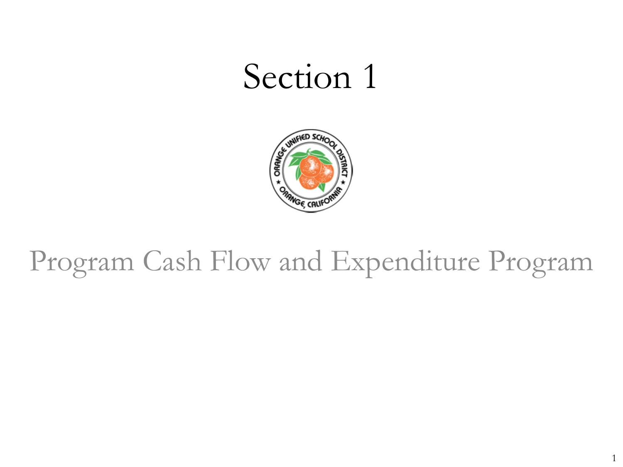

### Program Cash Flow and Expenditure Program

1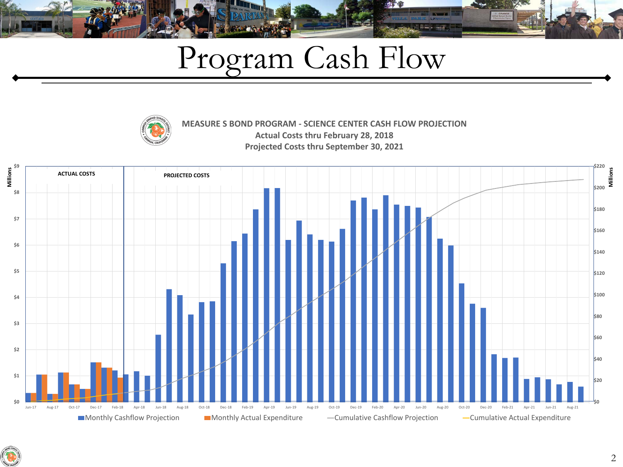# Program Cash Flow



**MEASURE S BOND PROGRAM - SCIENCE CENTER CASH FLOW PROJECTION Actual Costs thru February 28, 2018 Projected Costs thru September 30, 2021**



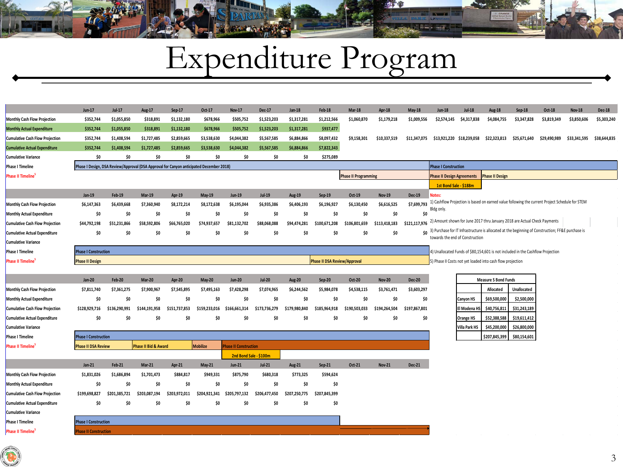# Expenditure Program

|                                        | <b>Jun-17</b>               | Jul-17        | <b>Aug-17</b>                                                                           | $Sep-17$      | Oct-17          | <b>Nov-17</b>          | <b>Dec-17</b> | <b>Jan-18</b> | <b>Feb-18</b>                       | <b>Mar-18</b>               | Apr-18        | May-18        | <b>Jun-18</b>                     | Jul-18           | <b>Aug-18</b>                                                                                         | Sep-18             | Oct-18       | <b>Nov-18</b> | <b>Dec-18</b> |
|----------------------------------------|-----------------------------|---------------|-----------------------------------------------------------------------------------------|---------------|-----------------|------------------------|---------------|---------------|-------------------------------------|-----------------------------|---------------|---------------|-----------------------------------|------------------|-------------------------------------------------------------------------------------------------------|--------------------|--------------|---------------|---------------|
| <b>Monthly Cash Flow Projection</b>    | \$352,744                   | \$1,055,850   | \$318,891                                                                               | \$1,132,180   | \$678,966       | \$505,752              | \$1,523,203   | \$1,317,281   | \$1,212,566                         | \$1,060,870                 | \$1,179,218   | \$1,009,556   | \$2,574,145                       | \$4,317,838      | \$4,084,755                                                                                           | \$3,347,828        | \$3,819,349  | \$3,850,606   | \$5,303,240   |
| <b>Monthly Actual Expenditure</b>      | \$352,744                   | \$1,055,850   | \$318,891                                                                               | \$1,132,180   | \$678,966       | \$505,752              | \$1,523,203   | \$1,317,281   | \$937,477                           |                             |               |               |                                   |                  |                                                                                                       |                    |              |               |               |
| <b>Cumulative Cash Flow Projection</b> | \$352,744                   | \$1,408,594   | \$1,727,485                                                                             | \$2,859,665   | \$3,538,630     | \$4,044,382            | \$5,567,585   | \$6,884,866   | \$8,097,432                         | \$9.158.301                 | \$10.337.519  | \$11.347.075  | \$13.921.220 \$18.239.058         |                  | \$22.323.813                                                                                          | \$25.671.640       | \$29.490.989 | \$33.341.595  | \$38.644.835  |
| <b>Cumulative Actual Expenditure</b>   | \$352,744                   | \$1,408,594   | \$1.727.485                                                                             | \$2.859.665   | \$3,538,630     | \$4.044.382            | \$5,567,585   | \$6.884.866   | \$7,822,343                         |                             |               |               |                                   |                  |                                                                                                       |                    |              |               |               |
| Cumulative Variance                    | \$0                         | \$0           | \$0                                                                                     | \$0           | \$0             | \$0                    | \$0           | \$0           | \$275,089                           |                             |               |               |                                   |                  |                                                                                                       |                    |              |               |               |
| Phase I Timeline                       |                             |               | Phase I Design, DSA Review/Approval (DSA Approval for Canyon anticipated December 2018) |               |                 |                        |               |               |                                     |                             |               |               | <b>Phase I Construction</b>       |                  |                                                                                                       |                    |              |               |               |
| Phase II Timeline <sup>!</sup>         |                             |               |                                                                                         |               |                 |                        |               |               |                                     | <b>Phase II Programming</b> |               |               | <b>Phase II Design Agreements</b> |                  | <b>Phase II Design</b>                                                                                |                    |              |               |               |
|                                        |                             |               |                                                                                         |               |                 |                        |               |               |                                     |                             |               |               | 1st Bond Sale - \$188m            |                  |                                                                                                       |                    |              |               |               |
|                                        | <b>Jan-19</b>               | <b>Feb-19</b> | <b>Mar-19</b>                                                                           | Apr-19        | <b>May-19</b>   | <b>Jun-19</b>          | $Jul-19$      | Aug-19        | Sep-19                              | Oct-19                      | <b>Nov-19</b> | <b>Dec-19</b> | <b>Notes:</b>                     |                  |                                                                                                       |                    |              |               |               |
| <b>Monthly Cash Flow Projection</b>    | \$6,147,363                 | \$6,439,668   | \$7,360,940                                                                             | \$8,172,214   | \$8,172,638     | \$6,195,044            | \$6,935,386   | \$6,406,193   | \$6,196,927                         | \$6,130,450                 | \$6,616,525   | \$7,699,793   | Bldg only.                        |                  | 1) Cashflow Projection is based on earned value following the current Project Schedule for STEM       |                    |              |               |               |
| <b>Monthly Actual Expenditure</b>      | \$0                         | \$0           | \$0                                                                                     | \$0           | \$O             | \$0                    | \$0           | \$0           | \$0                                 | \$0                         | \$0           | \$0           |                                   |                  |                                                                                                       |                    |              |               |               |
| Cumulative Cash Flow Projection        | \$44,792,198                | \$51,231,866  | \$58,592,806                                                                            | \$66.765.020  | \$74.937.657    | \$81,132,702           | \$88,068,088  | \$94.474.281  | \$100.671.208                       | \$106.801.659               | \$113,418,183 | \$121.117.976 |                                   |                  | 2) Amount shown for June 2017 thru January 2018 are Actual Check Payments                             |                    |              |               |               |
| <b>Cumulative Actual Expenditure</b>   | \$0                         | \$0           | \$0                                                                                     | \$0           | \$0             | \$0                    | \$0           | \$0           | \$0                                 | \$0                         | \$0           |               | towards the end of Construction   |                  | \$0 3) Purchase for IT Infrastructure is allocated at the beginning of Construction; FF&E purchase is |                    |              |               |               |
| <b>Cumulative Variance</b>             |                             |               |                                                                                         |               |                 |                        |               |               |                                     |                             |               |               |                                   |                  |                                                                                                       |                    |              |               |               |
| Phase I Timeline                       | <b>Phase I Construction</b> |               |                                                                                         |               |                 |                        |               |               |                                     |                             |               |               |                                   |                  | 1) Unallocated Funds of \$80,154,601 is not included in the Cashflow Projection                       |                    |              |               |               |
| <b>Phase II Timeline</b>               | <b>Phase II Design</b>      |               |                                                                                         |               |                 |                        |               |               | <b>Phase II DSA Review/Approval</b> |                             |               |               |                                   |                  | 5) Phase II Costs not yet loaded into cash flow projection                                            |                    |              |               |               |
|                                        |                             |               |                                                                                         |               |                 |                        |               |               |                                     |                             |               |               |                                   |                  |                                                                                                       |                    |              |               |               |
|                                        | <b>Jan-20</b>               | <b>Feb-20</b> | <b>Mar-20</b>                                                                           | <b>Apr-20</b> | <b>May-20</b>   | <b>Jun-20</b>          | $Jul-20$      | <b>Aug-20</b> | $Sep-20$                            | Oct-20                      | <b>Nov-20</b> | <b>Dec-20</b> |                                   |                  | <b>Measure S Bond Funds</b>                                                                           |                    |              |               |               |
| <b>Monthly Cash Flow Projection</b>    | \$7,811,740                 | \$7,361,275   | \$7,900,967                                                                             | \$7,545,895   | \$7,495,163     | \$7,428,298            | \$7,074,965   | \$6.244.562   | \$5.984.078                         | \$4,538,115                 | \$3,761,471   | \$3,603,297   |                                   |                  | Allocated                                                                                             | <b>Unallocated</b> |              |               |               |
| <b>Monthly Actual Expenditure</b>      | \$0                         | \$0           | \$0                                                                                     | \$0           | \$0             | \$0                    | \$0           | \$0           | \$0                                 | \$0                         | \$0           | \$0           |                                   | Canyon HS        | \$69,500,000                                                                                          | \$2,500,000        |              |               |               |
| <b>Cumulative Cash Flow Projection</b> | \$128,929,716               | \$136,290,991 | \$144,191,958                                                                           | \$151.737.853 | \$159,233,016   | \$166,661,314          | \$173,736,279 | \$179,980,840 | \$185,964,918                       | \$190.503.033               | \$194.264.504 | \$197,867,801 |                                   | El Modena HS     | \$40,756,811                                                                                          | \$31,243,189       |              |               |               |
| <b>Cumulative Actual Expenditure</b>   | \$0                         | \$0           | \$0                                                                                     | Ś0            | \$0             | \$O                    | \$0           | \$0           | \$0                                 | \$0                         | \$O           | \$0           |                                   | <b>Orange HS</b> | \$52,388,588                                                                                          | \$19,611,412       |              |               |               |
| Cumulative Variance                    |                             |               |                                                                                         |               |                 |                        |               |               |                                     |                             |               |               |                                   | Villa Park HS    | \$45,200,000                                                                                          | \$26,800,000       |              |               |               |
| <b>Phase I Timeline</b>                | <b>Phase I Construction</b> |               |                                                                                         |               |                 |                        |               |               |                                     |                             |               |               |                                   |                  | \$207,845,399                                                                                         | \$80,154,601       |              |               |               |
| Phase II Timeline                      | <b>Phase II DSA Review</b>  |               | Phase II Bid & Award                                                                    |               | <b>Mobilize</b> | hase II Construction   |               |               |                                     |                             |               |               |                                   |                  |                                                                                                       |                    |              |               |               |
|                                        |                             |               |                                                                                         |               |                 | 2nd Bond Sale - \$100m |               |               |                                     |                             |               |               |                                   |                  |                                                                                                       |                    |              |               |               |
|                                        | $Jan-21$                    | <b>Feb-21</b> | $Mar-21$                                                                                | <b>Apr-21</b> | <b>May-21</b>   | <b>Jun-21</b>          | $Jul-21$      | <b>Aug-21</b> | $Sen-21$                            | Oct-21                      | <b>Nov-21</b> | <b>Dec-21</b> |                                   |                  |                                                                                                       |                    |              |               |               |
| <b>Monthly Cash Flow Projection</b>    | \$1,831,026                 | \$1,686,894   | \$1,701,473                                                                             | \$884,817     | \$949,331       | \$875,790              | \$680,318     | \$773,325     | \$594,624                           |                             |               |               |                                   |                  |                                                                                                       |                    |              |               |               |
| <b>Monthly Actual Expenditure</b>      | \$0                         | \$0           | \$0                                                                                     | \$0           | \$0             | \$0                    | \$0           | \$0           | \$0                                 |                             |               |               |                                   |                  |                                                                                                       |                    |              |               |               |
| <b>Cumulative Cash Flow Projection</b> | \$199,698,827               | \$201.385.721 | \$203.087.194                                                                           | \$203,972,011 | \$204.921.341   | \$205,797,132          | \$206.477.450 | \$207.250.775 | \$207,845,399                       |                             |               |               |                                   |                  |                                                                                                       |                    |              |               |               |
| <b>Cumulative Actual Expenditure</b>   | \$0                         | \$0           | \$0                                                                                     | \$0           | \$0             | \$O                    | \$0           | \$0           | \$0                                 |                             |               |               |                                   |                  |                                                                                                       |                    |              |               |               |
| Cumulative Variance                    |                             |               |                                                                                         |               |                 |                        |               |               |                                     |                             |               |               |                                   |                  |                                                                                                       |                    |              |               |               |
| Phase I Timeline                       | <b>Phase I Construction</b> |               |                                                                                         |               |                 |                        |               |               |                                     |                             |               |               |                                   |                  |                                                                                                       |                    |              |               |               |
| <b>Phase II Timeline</b>               | hase II Construction        |               |                                                                                         |               |                 |                        |               |               |                                     |                             |               |               |                                   |                  |                                                                                                       |                    |              |               |               |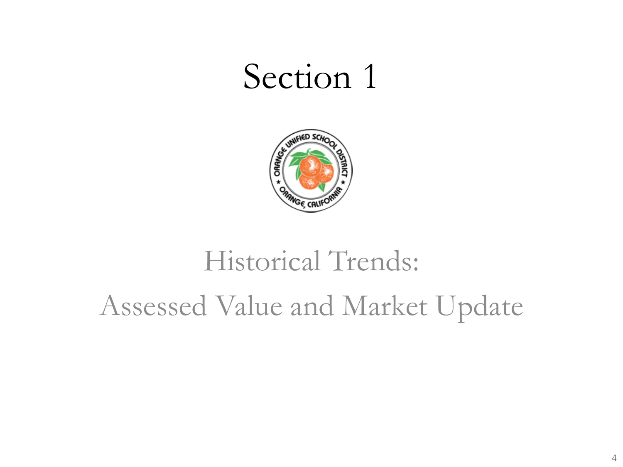

# Historical Trends: Assessed Value and Market Update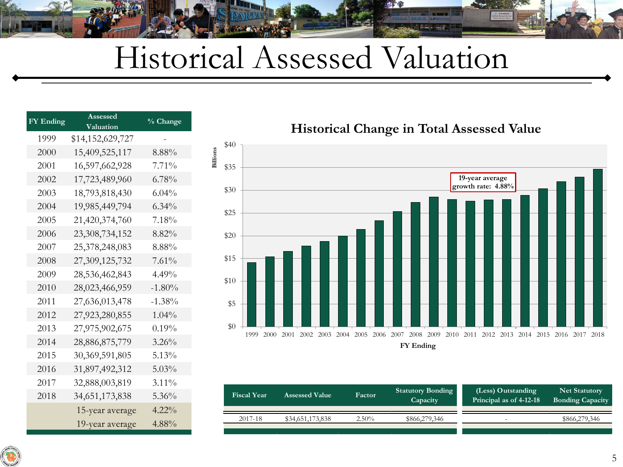### Historical Assessed Valuation

**Billions**

| <b>FY Ending</b> | <b>Assessed</b><br>Valuation | % Change  |  |  |
|------------------|------------------------------|-----------|--|--|
| 1999             | \$14,152,629,727             |           |  |  |
| 2000             | 15,409,525,117               | $8.88\%$  |  |  |
| 2001             | 16,597,662,928               | $7.71\%$  |  |  |
| 2002             | 17,723,489,960               | $6.78\%$  |  |  |
| 2003             | 18,793,818,430               | $6.04\%$  |  |  |
| 2004             | 19,985,449,794               | $6.34\%$  |  |  |
| 2005             | 21,420,374,760               | 7.18%     |  |  |
| 2006             | 23,308,734,152               | 8.82%     |  |  |
| 2007             | 25,378,248,083               | 8.88%     |  |  |
| 2008             | 27,309,125,732               | $7.61\%$  |  |  |
| 2009             | 28,536,462,843               | $4.49\%$  |  |  |
| 2010             | 28,023,466,959               | $-1.80\%$ |  |  |
| 2011             | 27,636,013,478               | $-1.38\%$ |  |  |
| 2012             | 27,923,280,855               | $1.04\%$  |  |  |
| 2013             | 27,975,902,675               | $0.19\%$  |  |  |
| 2014             | 28,886,875,779               | $3.26\%$  |  |  |
| 2015             | 30, 369, 591, 805            | $5.13\%$  |  |  |
| 2016             | 31,897,492,312               | $5.03\%$  |  |  |
| 2017             | 32,888,003,819               | $3.11\%$  |  |  |
| 2018             | 34, 651, 173, 838            | $5.36\%$  |  |  |
|                  | 15-year average              | $4.22\%$  |  |  |
|                  | 19-year average              | 4.88%     |  |  |

**19-year average growth rate: 4.88%** \$0 \$5 \$10 \$15 \$20 \$25 \$30 \$35 \$40 1999 2000 2001 2002 2003 2004 2005 2006 2007 2008 2009 2010 2011 2012 2013 2014 2015 2016 2017 2018 **FY Ending**

| <b>Fiscal Year</b> | <b>Assessed Value</b> | Factor   | <b>Statutory Bonding</b><br>Capacity | (Less) Outstanding<br>Principal as of 4-12-18 | <b>Net Statutory</b><br><b>Bonding Capacity</b> |  |  |
|--------------------|-----------------------|----------|--------------------------------------|-----------------------------------------------|-------------------------------------------------|--|--|
| 2017-18            | \$34,651,173,838      | $2.50\%$ | \$866,279,346                        | <u>. .</u>                                    | \$866,279,346                                   |  |  |
|                    |                       |          |                                      |                                               |                                                 |  |  |

**Historical Change in Total Assessed Value**

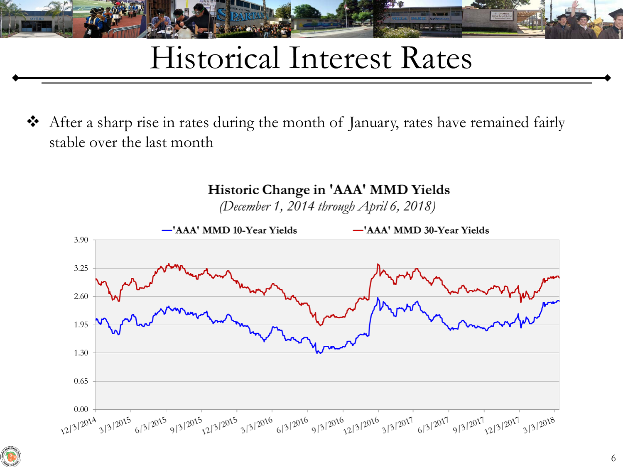

## Historical Interest Rates

 After a sharp rise in rates during the month of January, rates have remained fairly stable over the last month



Historic Change in 'AAA' MMD Yields

(December 1, 2014 through April 6, 2018)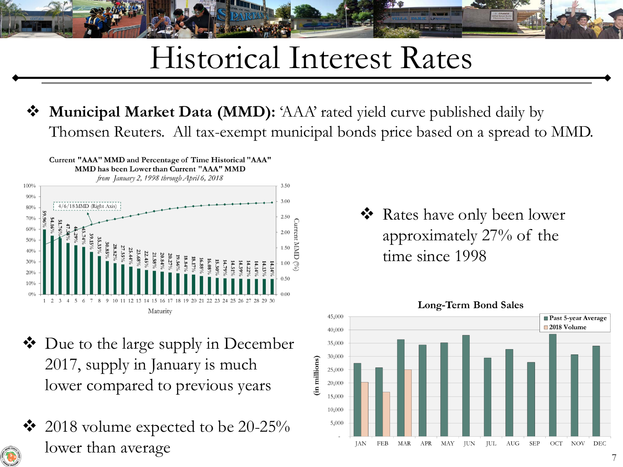## Historical Interest Rates

#### **Municipal Market Data (MMD):** 'AAA' rated yield curve published daily by Thomsen Reuters. All tax-exempt municipal bonds price based on a spread to MMD.



- ❖ Due to the large supply in December 2017, supply in January is much lower compared to previous years
- $\cdot \cdot$  2018 volume expected to be 20-25% lower than average

 Rates have only been lower approximately 27% of the time since 1998



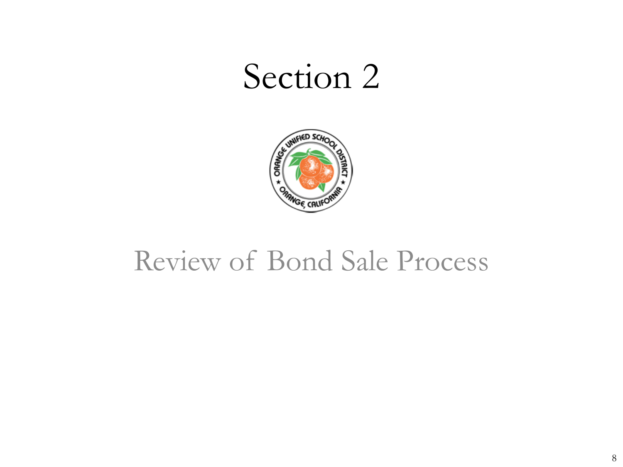

#### Review of Bond Sale Process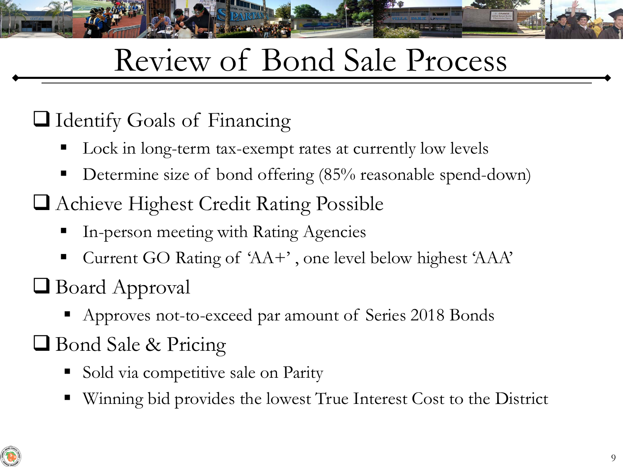# Review of Bond Sale Process

#### Identify Goals of Financing

- Lock in long-term tax-exempt rates at currently low levels
- Determine size of bond offering (85% reasonable spend-down)
- Achieve Highest Credit Rating Possible
	- In-person meeting with Rating Agencies
	- Current GO Rating of 'AA+', one level below highest 'AAA'
- Board Approval
	- **•** Approves not-to-exceed par amount of Series 2018 Bonds
- Bond Sale & Pricing
	- Sold via competitive sale on Parity
	- Winning bid provides the lowest True Interest Cost to the District

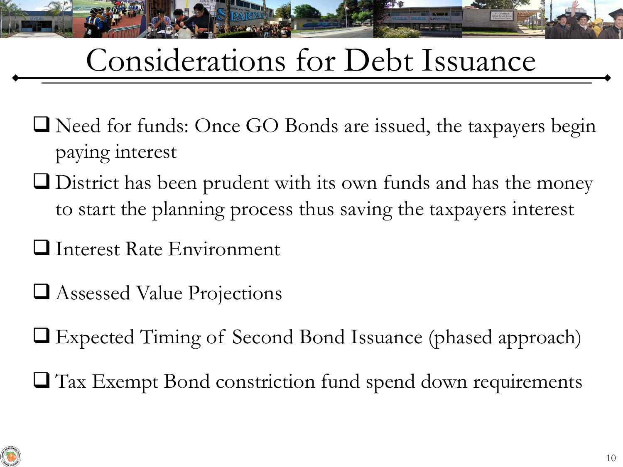## Considerations for Debt Issuance

- Need for funds: Once GO Bonds are issued, the taxpayers begin paying interest
- District has been prudent with its own funds and has the money to start the planning process thus saving the taxpayers interest
- **I** Interest Rate Environment
- Assessed Value Projections
- Expected Timing of Second Bond Issuance (phased approach)
- Tax Exempt Bond constriction fund spend down requirements

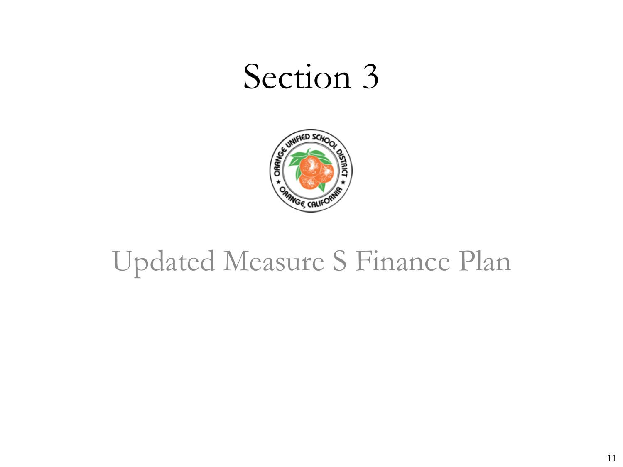

#### Updated Measure S Finance Plan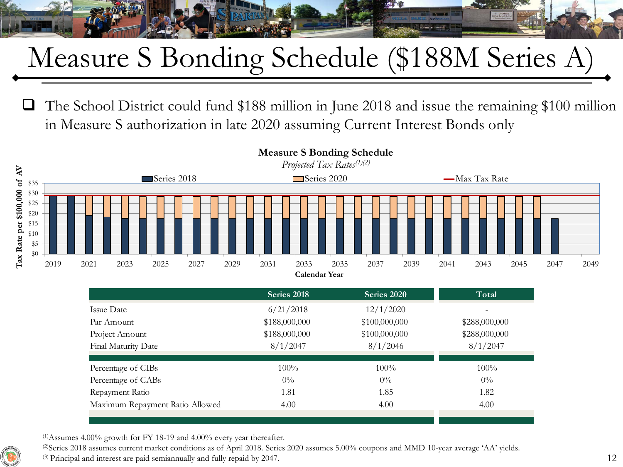## Measure S Bonding Schedule (\$188M Series A)

 The School District could fund \$188 million in June 2018 and issue the remaining \$100 million in Measure S authorization in late 2020 assuming Current Interest Bonds only



|                                 | <b>Calendar Year</b> |               |               |
|---------------------------------|----------------------|---------------|---------------|
|                                 | Series 2018          | Series 2020   | Total         |
| Issue Date                      | 6/21/2018            | 12/1/2020     |               |
| Par Amount                      | \$188,000,000        | \$100,000,000 | \$288,000,000 |
| Project Amount                  | \$188,000,000        | \$100,000,000 | \$288,000,000 |
| Final Maturity Date             | 8/1/2047             | 8/1/2046      | 8/1/2047      |
|                                 |                      |               |               |
| Percentage of CIBs              | $100\%$              | $100\%$       | $100\%$       |
| Percentage of CABs              | $0\%$                | $0\%$         | $0\%$         |
| Repayment Ratio                 | 1.81                 | 1.85          | 1.82          |
| Maximum Repayment Ratio Allowed | 4.00                 | 4.00          | 4.00          |

**Measure S Bonding Schedule**

 $(1)$ Assumes 4.00% growth for FY 18-19 and 4.00% every year thereafter.

(2)Series 2018 assumes current market conditions as of April 2018. Series 2020 assumes 5.00% coupons and MMD 10-year average 'AA' yields.  $(3)$  Principal and interest are paid semiannually and fully repaid by 2047.

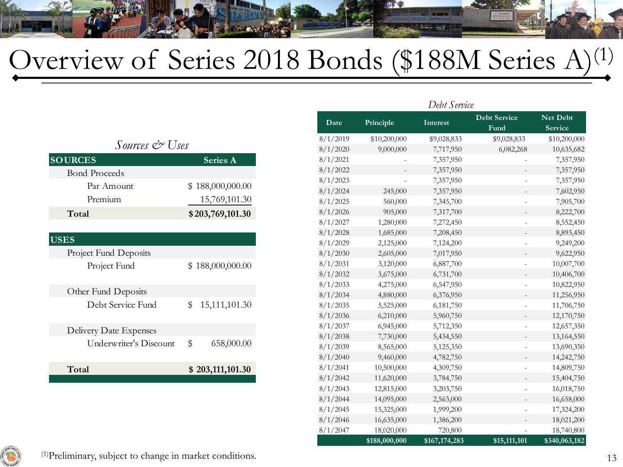

### Overview of Series 2018 Bonds (\$188M Series A)<sup>(1)</sup>

|                        |                                 |          | Leve screet |             |                             |                            |
|------------------------|---------------------------------|----------|-------------|-------------|-----------------------------|----------------------------|
|                        |                                 | Date     | Principle   | Interest    | <b>Debt Service</b><br>Fund | Net Debt<br><b>Service</b> |
|                        |                                 |          |             | \$9,028,833 | \$9,028,833                 | \$10,200,000               |
| Sources & Uses         |                                 | 8/1/2020 | 9,000,000   | 7,717,950   | 6,082,268                   | 10,635,682                 |
| <b>SOURCES</b>         | <b>Series A</b>                 | 8/1/2021 |             | 7,357,950   |                             | 7,357,950                  |
| <b>Bond Proceeds</b>   |                                 | 8/1/2022 |             | 7,357,950   |                             | 7,357,950                  |
| Par Amount             |                                 | 8/1/2023 |             | 7,357,950   | $\overline{\phantom{a}}$    | 7,357,950                  |
|                        | \$188,000,000.00                | 8/1/2024 | 245,000     | 7,357,950   |                             | 7,602,950                  |
| Premium                | 15,769,101.30                   | 8/1/2025 | 560,000     | 7,345,700   |                             | 7,905,700                  |
| Total                  | \$203,769,101.30                | 8/1/2026 | 905,000     | 7,317,700   |                             | 8,222,700                  |
|                        |                                 | 8/1/2027 | 1,280,000   | 7,272,450   | $\overline{\phantom{a}}$    | 8,552,450                  |
|                        |                                 | 8/1/2028 | 1,685,000   | 7,208,450   |                             | 8,893,450                  |
| <b>USES</b>            |                                 | 8/1/2029 | 2,125,000   | 7,124,200   |                             | 9,249,200                  |
| Project Fund Deposits  |                                 | 8/1/2030 | 2,605,000   | 7,017,950   |                             | 9,622,950                  |
| Project Fund           | \$188,000,000.00                | 8/1/2031 | 3,120,000   | 6,887,700   | $\overline{\phantom{a}}$    | 10,007,700                 |
|                        |                                 | 8/1/2032 | 3,675,000   | 6,731,700   |                             | 10,406,700                 |
|                        |                                 | 8/1/2033 | 4,275,000   | 6,547,950   | $\overline{\phantom{a}}$    | 10,822,950                 |
| Other Fund Deposits    |                                 | 8/1/2034 | 4,880,000   | 6,376,950   |                             | 11,256,950                 |
| Debt Service Fund      | 15,111,101.30<br>$\mathbb{S}^-$ | 8/1/2035 | 5,525,000   | 6,181,750   | $\overline{\phantom{a}}$    | 11,706,750                 |
|                        |                                 | 8/1/2036 | 6,210,000   | 5,960,750   |                             | 12,170,750                 |
| Delivery Date Expenses |                                 | 8/1/2037 | 6,945,000   | 5,712,350   | $\overline{\phantom{a}}$    | 12,657,350                 |
| Underwriter's Discount |                                 | 8/1/2038 | 7,730,000   | 5,434,550   |                             | 13,164,550                 |
|                        | \$<br>658,000.00                | 8/1/2039 | 8,565,000   | 5,125,350   | $\overline{\phantom{a}}$    | 13,690,350                 |
|                        |                                 | 8/1/2040 | 9,460,000   | 4,782,750   |                             | 14,242,750                 |
| Total                  | \$203,111,101.30                | 8/1/2041 | 10,500,000  | 4,309,750   | $\overline{\phantom{a}}$    | 14,809,750                 |
|                        |                                 | 8/1/2042 | 11,620,000  | 3,784,750   | $\overline{\phantom{a}}$    | 15,404,750                 |
|                        |                                 | 8/1/2043 | 12,815,000  | 3,203,750   |                             | 16,018,750                 |
|                        |                                 | 8/1/2044 | 14,095,000  | 2,563,000   |                             | 16,658,000                 |
|                        |                                 | 8/1/2045 | 15,325,000  | 1,999,200   |                             | 17,324,200                 |

8/1/2046 16,635,000 1,386,200 - 18,021,200 8/1/2047 18,020,000 720,800 - 18,740,800

*Debt Service*

**\$188,000,000 \$167,174,283 \$15,111,101 \$340,063,182**

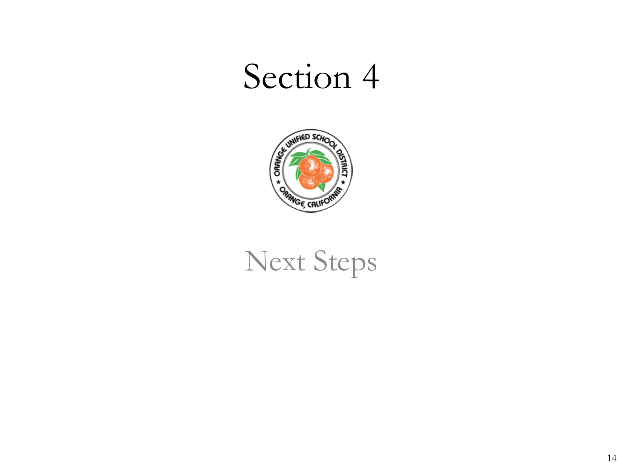

### Next Steps